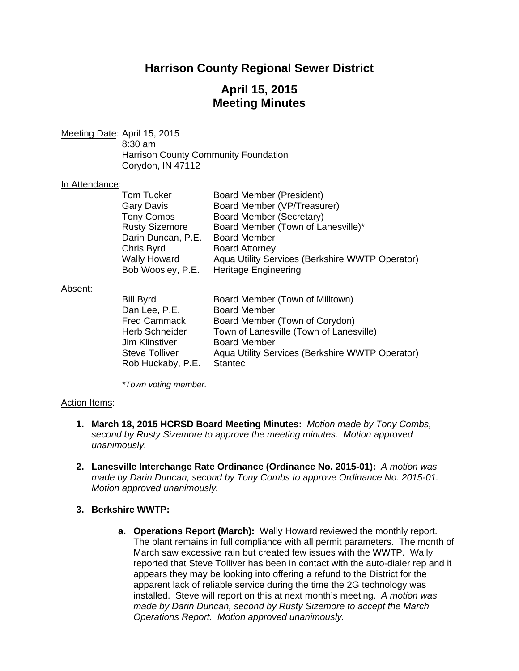# **Harrison County Regional Sewer District**

# **April 15, 2015 Meeting Minutes**

Meeting Date: April 15, 2015 8:30 am Harrison County Community Foundation Corydon, IN 47112

#### In Attendance:

| Tom Tucker            | Board Member (President)                        |
|-----------------------|-------------------------------------------------|
| <b>Gary Davis</b>     | Board Member (VP/Treasurer)                     |
| <b>Tony Combs</b>     | Board Member (Secretary)                        |
| <b>Rusty Sizemore</b> | Board Member (Town of Lanesville)*              |
| Darin Duncan, P.E.    | <b>Board Member</b>                             |
| Chris Byrd            | <b>Board Attorney</b>                           |
| <b>Wally Howard</b>   | Aqua Utility Services (Berkshire WWTP Operator) |
| Bob Woosley, P.E.     | <b>Heritage Engineering</b>                     |

### Absent:

| <b>Bill Byrd</b>      | Board Member (Town of Milltown)                 |
|-----------------------|-------------------------------------------------|
| Dan Lee, P.E.         | <b>Board Member</b>                             |
| <b>Fred Cammack</b>   | Board Member (Town of Corydon)                  |
| <b>Herb Schneider</b> | Town of Lanesville (Town of Lanesville)         |
| Jim Klinstiver        | <b>Board Member</b>                             |
| <b>Steve Tolliver</b> | Aqua Utility Services (Berkshire WWTP Operator) |
| Rob Huckaby, P.E.     | <b>Stantec</b>                                  |

 *\*Town voting member.* 

### Action Items:

- **1. March 18, 2015 HCRSD Board Meeting Minutes:** *Motion made by Tony Combs, second by Rusty Sizemore to approve the meeting minutes. Motion approved unanimously.*
- **2. Lanesville Interchange Rate Ordinance (Ordinance No. 2015-01):** *A motion was made by Darin Duncan, second by Tony Combs to approve Ordinance No. 2015-01. Motion approved unanimously.*

### **3. Berkshire WWTP:**

**a. Operations Report (March):** Wally Howard reviewed the monthly report. The plant remains in full compliance with all permit parameters. The month of March saw excessive rain but created few issues with the WWTP. Wally reported that Steve Tolliver has been in contact with the auto-dialer rep and it appears they may be looking into offering a refund to the District for the apparent lack of reliable service during the time the 2G technology was installed. Steve will report on this at next month's meeting. *A motion was made by Darin Duncan, second by Rusty Sizemore to accept the March Operations Report. Motion approved unanimously.*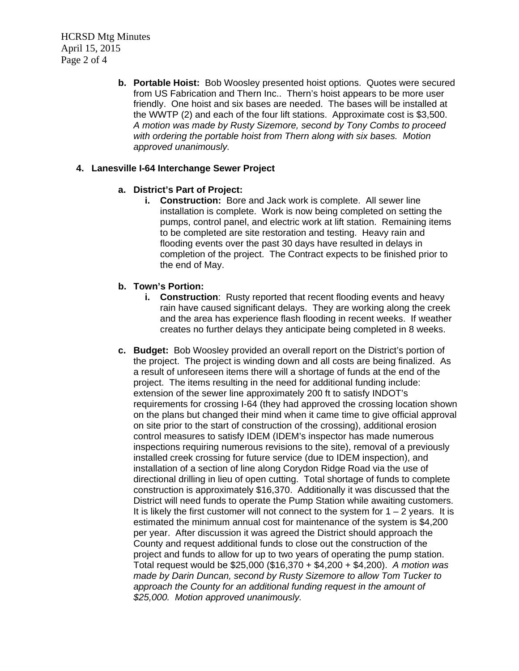HCRSD Mtg Minutes April 15, 2015 Page 2 of 4

> **b. Portable Hoist:** Bob Woosley presented hoist options. Quotes were secured from US Fabrication and Thern Inc.. Thern's hoist appears to be more user friendly. One hoist and six bases are needed. The bases will be installed at the WWTP (2) and each of the four lift stations. Approximate cost is \$3,500. *A motion was made by Rusty Sizemore, second by Tony Combs to proceed with ordering the portable hoist from Thern along with six bases. Motion approved unanimously.*

## **4. Lanesville I-64 Interchange Sewer Project**

## **a. District's Part of Project:**

**i. Construction:** Bore and Jack work is complete. All sewer line installation is complete. Work is now being completed on setting the pumps, control panel, and electric work at lift station. Remaining items to be completed are site restoration and testing. Heavy rain and flooding events over the past 30 days have resulted in delays in completion of the project. The Contract expects to be finished prior to the end of May.

## **b. Town's Portion:**

- **i.** Construction: Rusty reported that recent flooding events and heavy rain have caused significant delays. They are working along the creek and the area has experience flash flooding in recent weeks. If weather creates no further delays they anticipate being completed in 8 weeks.
- **c. Budget:** Bob Woosley provided an overall report on the District's portion of the project. The project is winding down and all costs are being finalized. As a result of unforeseen items there will a shortage of funds at the end of the project. The items resulting in the need for additional funding include: extension of the sewer line approximately 200 ft to satisfy INDOT's requirements for crossing I-64 (they had approved the crossing location shown on the plans but changed their mind when it came time to give official approval on site prior to the start of construction of the crossing), additional erosion control measures to satisfy IDEM (IDEM's inspector has made numerous inspections requiring numerous revisions to the site), removal of a previously installed creek crossing for future service (due to IDEM inspection), and installation of a section of line along Corydon Ridge Road via the use of directional drilling in lieu of open cutting. Total shortage of funds to complete construction is approximately \$16,370. Additionally it was discussed that the District will need funds to operate the Pump Station while awaiting customers. It is likely the first customer will not connect to the system for  $1 - 2$  years. It is estimated the minimum annual cost for maintenance of the system is \$4,200 per year. After discussion it was agreed the District should approach the County and request additional funds to close out the construction of the project and funds to allow for up to two years of operating the pump station. Total request would be \$25,000 (\$16,370 + \$4,200 + \$4,200). *A motion was made by Darin Duncan, second by Rusty Sizemore to allow Tom Tucker to approach the County for an additional funding request in the amount of \$25,000. Motion approved unanimously.*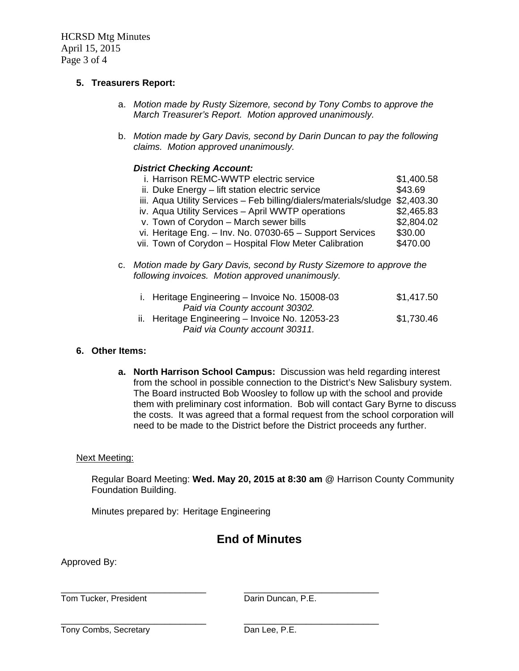HCRSD Mtg Minutes April 15, 2015 Page 3 of 4

## **5. Treasurers Report:**

- a. *Motion made by Rusty Sizemore, second by Tony Combs to approve the March Treasurer's Report. Motion approved unanimously.*
- b. *Motion made by Gary Davis, second by Darin Duncan to pay the following claims. Motion approved unanimously.*

### *District Checking Account:*

| i. Harrison REMC-WWTP electric service                                | \$1,400.58 |  |  |
|-----------------------------------------------------------------------|------------|--|--|
| ii. Duke Energy - lift station electric service                       | \$43.69    |  |  |
| iii. Aqua Utility Services - Feb billing/dialers/materials/sludge     | \$2,403.30 |  |  |
| iv. Aqua Utility Services - April WWTP operations                     | \$2,465.83 |  |  |
| v. Town of Corydon - March sewer bills                                | \$2,804.02 |  |  |
| vi. Heritage Eng. - Inv. No. 07030-65 - Support Services              | \$30.00    |  |  |
| vii. Town of Corydon - Hospital Flow Meter Calibration                | \$470.00   |  |  |
| c. Motion made by Gary Davis, second by Rusty Sizemore to approve the |            |  |  |
| following invoices. Motion approved unanimously.                      |            |  |  |

| i. Heritage Engineering - Invoice No. 15008-03  | \$1,417.50 |
|-------------------------------------------------|------------|
| Paid via County account 30302.                  |            |
| ii. Heritage Engineering - Invoice No. 12053-23 | \$1,730.46 |
| Paid via County account 30311.                  |            |

### **6. Other Items:**

**a. North Harrison School Campus:** Discussion was held regarding interest from the school in possible connection to the District's New Salisbury system. The Board instructed Bob Woosley to follow up with the school and provide them with preliminary cost information. Bob will contact Gary Byrne to discuss the costs. It was agreed that a formal request from the school corporation will need to be made to the District before the District proceeds any further.

### Next Meeting:

Regular Board Meeting: **Wed. May 20, 2015 at 8:30 am** @ Harrison County Community Foundation Building.

Minutes prepared by: Heritage Engineering

# **End of Minutes**

Approved By:

\_\_\_\_\_\_\_\_\_\_\_\_\_\_\_\_\_\_\_\_\_\_\_\_\_\_\_\_ \_\_\_\_\_\_\_\_\_\_\_\_\_\_\_\_\_\_\_\_\_\_\_\_\_\_ Tom Tucker, President **The Contract Contract Contract Contract Contract Contract Contract Contract Contract Contract Contract Contract Contract Contract Contract Contract Contract Contract Contract Contract Contract Contra** 

Tony Combs, Secretary **Dan Lee, P.E.** 

\_\_\_\_\_\_\_\_\_\_\_\_\_\_\_\_\_\_\_\_\_\_\_\_\_\_\_\_ \_\_\_\_\_\_\_\_\_\_\_\_\_\_\_\_\_\_\_\_\_\_\_\_\_\_